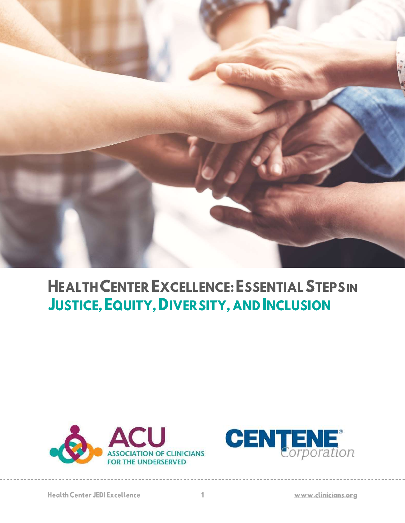

# **HEALTH CENTER EXCELLENCE: ESSENTIAL STEPSIN JUSTICE, EQUITY, DIVER SITY, AND INCLUSION**



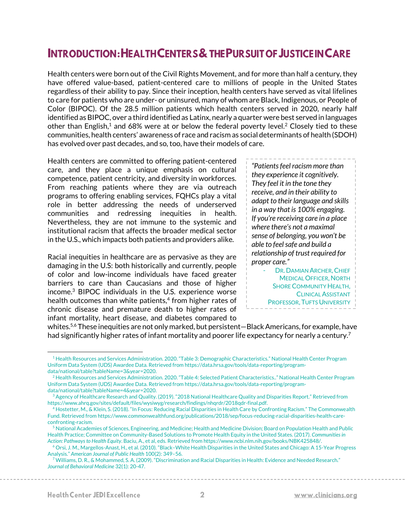# INTRODUCTION: HEALTH CENTERS & THE PURSUIT OF JUSTICE IN CARE

Health centers were born out of the Civil Rights Movement, and for more than half a century, they have offered value-based, patient-centered care to millions of people in the United States regardless of their ability to pay. Since their inception, health centers have served as vital lifelines to care for patients who are under- or uninsured, many of whom are Black, Indigenous, or People of Color (BIPOC). Of the 28.5 million patients which health centers served in 2020, nearly half identified as BIPOC, over a third identified as Latinx, nearly a quarter were best served in languages other than English,<sup>1</sup> and 68% were at or below the federal poverty level.<sup>2</sup> Closely tied to these communities, health centers' awareness of race and racism as social determinants of health (SDOH) has evolved over past decades, and so, too, have their models of care.

Health centers are committed to offering patient-centered care, and they place a unique emphasis on cultural competence, patient centricity, and diversity in workforces. From reaching patients where they are via outreach programs to offering enabling services, FQHCs play a vital role in better addressing the needs of underserved communities and redressing inequities in health. Nevertheless, they are not immune to the systemic and institutional racism that affects the broader medical sector in the U.S., which impacts both patients and providers alike.

Racial inequities in healthcare are as pervasive as they are damaging in the U.S: both historically and currently, people of color and low-income individuals have faced greater barriers to care than Caucasians and those of higher income.<sup>3</sup> BIPOC individuals in the U.S. experience worse health outcomes than white patients,<sup>4</sup> from higher rates of chronic disease and premature death to higher rates of infant mortality, heart disease, and diabetes compared to

*"Patients feel racism more than they experience it cognitively. They feel it in the tone they receive, and in their ability to adapt to their language and skills in a way that is 100% engaging. If you're receiving care in a place where there's not a maximal sense of belonging, you won't be able to feel safe and build a relationship of trust required for proper care."*

DR. DAMIAN ARCHER, CHIEF MEDICAL OFFICER, NORTH SHORE COMMUNITY HEALTH, CLINICAL ASSISTANT PROFESSOR, TUFTS UNIVERSITY

whites.<sup>5,6</sup> These inequities are not only marked, but persistent—Black Americans, for example, have had significantly higher rates of infant mortality and poorer life expectancy for nearly a century.<sup>7</sup>

<sup>&</sup>lt;sup>1</sup> Health Resources and Services Administration. 2020. "Table 3: Demographic Characteristics." National Health Center Program Uniform Data System (UDS) Awardee Data. Retrieved from https://data.hrsa.gov/tools/data-reporting/programdata/national/table?tableName=3&year=2020.

<sup>&</sup>lt;sup>2</sup> Health Resources and Services Administration. 2020. "Table 4: Selected Patient Characteristics.." National Health Center Program Uniform Data System (UDS) Awardee Data. Retrieved from https://data.hrsa.gov/tools/data-reporting/programdata/national/table?tableName=4&year=2020.

<sup>3</sup> Agency of Healthcare Research and Quality. (2019). "2018 National Healthcare Quality and Disparities Report." Retrieved from https://www.ahrq.gov/sites/default/files/wysiwyg/research/findings/nhqrdr/2018qdr-final.pdf.

<sup>4</sup> Hostetter, M., & Klein, S. (2018). "In Focus: Reducing Racial Disparities in Health Care by Confronting Racism." The Commonwealth Fund. Retrieved from https://www.commonwealthfund.org/publications/2018/sep/focus-reducing-racial-disparities-health-careconfronting-racism.

<sup>&</sup>lt;sup>5</sup> National Academies of Sciences, Engineering, and Medicine; Health and Medicine Division; Board on Population Health and Public Health Practice; Committee on Community-Based Solutions to Promote Health Equity in the United States. (2017). *Communities in Action: Pathways to Health Equity*. Baciu, A., et al, eds. Retrieved from https://www.ncbi.nlm.nih.gov/books/NBK425848/.

<sup>6</sup> Orsi, J. M., Margellos-Anast, H., et al. (2010). "Black–White Health Disparities in the United States and Chicago: A 15-Year Progress Analysis." *American Journal of Public Health* 100(2): 349–56.

<sup>7</sup> Williams, D. R., & Mohammed, S. A. (2009). "Discrimination and Racial Disparities in Health: Evidence and Needed Research." *Journal of Behavioral Medicine* 32(1): 20-47.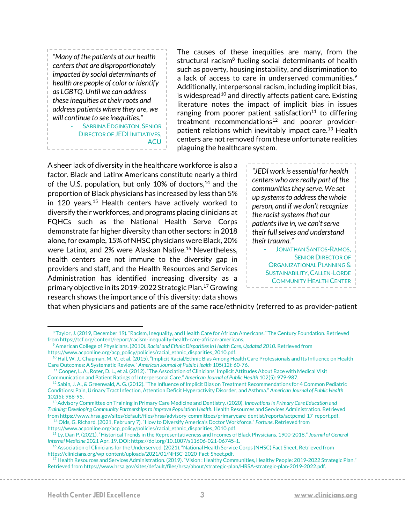*"Many of the patients at our health centers that are disproportionately impacted by social determinants of health are people of color or identify as LGBTQ. Until we can address these inequities at their roots and address patients where they are, we will continue to see inequities."*

SABRINA EDGINGTON, SENIOR DIRECTOR OF JEDI INITIATIVES, **ACU** 

The causes of these inequities are many, from the structural racism<sup>8</sup> fueling social determinants of health such as poverty, housing instability, and discrimination to a lack of access to care in underserved communities.<sup>9</sup> Additionally, interpersonal racism, including implicit bias, is widespread<sup>10</sup> and directly affects patient care. Existing literature notes the impact of implicit bias in issues ranging from poorer patient satisfaction<sup>11</sup> to differing treatment recommendations $12$  and poorer providerpatient relations which inevitably impact care.<sup>13</sup> Health centers are not removed from these unfortunate realities plaguing the healthcare system.

A sheer lack of diversity in the healthcare workforce is also a factor. Black and Latinx Americans constitute nearly a third of the U.S. population, but only 10% of doctors, $14$  and the proportion of Black physicians has increased by less than 5% in 120 years.<sup>15</sup> Health centers have actively worked to diversify their workforces, and programs placing clinicians at FQHCs such as the National Health Serve Corps demonstrate far higher diversity than other sectors: in 2018 alone, for example, 15% of NHSC physicians were Black, 20% were Latinx, and 2% were Alaskan Native.<sup>16</sup> Nevertheless, health centers are not immune to the diversity gap in providers and staff, and the Health Resources and Services Administration has identified increasing diversity as a primary objective in its 2019-2022 Strategic Plan.<sup>17</sup> Growing research shows the importance of this diversity: data shows

*"JEDI work is essential for health centers who are really part of the communities they serve. We set up systems to address the whole person, and if we don't recognize the racist systems that our patients live in, we can't serve their full selves and understand their trauma."* JONATHAN SANTOS-RAMOS. SENIOR DIRECTOR OF

ORGANIZATIONAL PLANNING & SUSTAINABILITY, CALLEN-LORDE COMMUNITY HEALTH CENTER

that when physicians and patients are of the same race/ethnicity (referred to as provider-patient

<sup>&</sup>lt;sup>8</sup> Taylor, J. (2019, December 19). "Racism, Inequality, and Health Care for African Americans." The Century Foundation. Retrieved from https://tcf.org/content/report/racism-inequality-health-care-african-americans.

<sup>9</sup> American College of Physicians. (2010). *Racial and Ethnic Disparities in Health Care, Updated 2010.* Retrieved from https://www.acponline.org/acp\_policy/policies/racial\_ethnic\_disparities\_2010.pdf.

 $^{10}$  Hall, W. J., Chapman, M. V., et al. (2015). "Implicit Racial/Ethnic Bias Among Health Care Professionals and Its Influence on Health Care Outcomes: A Systematic Review." *American Journal of Public Health* 105(12): 60-76.

<sup>&</sup>lt;sup>11</sup> Cooper, L. A., Roter, D. L., et al. (2012). "The Association of Clinicians' Implicit Attitudes About Race with Medical Visit Communication and Patient Ratings of Interpersonal Care." *American Journal of Public Health* 102(5): 979-987.

<sup>&</sup>lt;sup>2</sup> Sabin, J. A., & Greenwald, A. G. (2012). "The Influence of Implicit Bias on Treatment Recommendations for 4 Common Pediatric Conditions: Pain, Urinary Tract Infection, Attention Deficit Hyperactivity Disorder, and Asthma." *American Journal of Public Health*  102(5): 988-95.

<sup>13</sup> Advisory Committee on Training in Primary Care Medicine and Dentistry. (2020). *Innovations in Primary Care Education and Training: Developing Community Partnerships to Improve Population Health. Health Resources and Services Administration. Retrieved* from https://www.hrsa.gov/sites/default/files/hrsa/advisory-committees/primarycare-dentist/reports/actpcmd-17-report.pdf.

<sup>14</sup> Olds, G. Richard. (2021, February 7). "How to Diversify America's Doctor Workforce." *Fortune*. Retrieved from

https://www.acponline.org/acp\_policy/policies/racial\_ethnic\_disparities\_2010.pdf. <sup>15</sup> Ly, Dan P. (2021). "Historical Trends in the Representativeness and Incomes of Black Physicians, 1900-2018." *Journal of General Internal Medicine* 2021 Apr. 19. DOI: https://doi.org/10.1007/s11606-021-06745-1.

<sup>&</sup>lt;sup>16</sup> Association of Clinicians for the Underserved. (2021). "National Health Service Corps (NHSC) Fact Sheet. Retrieved from https://clinicians.org/wp-content/uploads/2021/01/NHSC-2020-Fact-Sheet.pdf.

<sup>&</sup>lt;sup>17</sup> Health Resources and Services Administration. (2019). "Vision: Healthy Communities, Healthy People: 2019-2022 Strategic Plan." Retrieved from https://www.hrsa.gov/sites/default/files/hrsa/about/strategic-plan/HRSA-strategic-plan-2019-2022.pdf.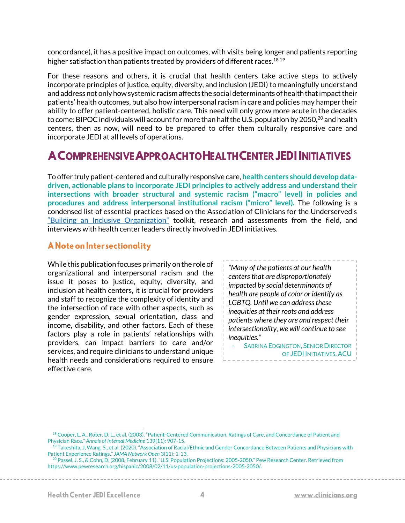concordance), it has a positive impact on outcomes, with visits being longer and patients reporting higher satisfaction than patients treated by providers of different races.<sup>18,19</sup>

For these reasons and others, it is crucial that health centers take active steps to actively incorporate principles of justice, equity, diversity, and inclusion (JEDI) to meaningfully understand and address not only how systemic racism affects the social determinants of health that impact their patients' health outcomes, but also how interpersonal racism in care and policies may hamper their ability to offer patient-centered, holistic care. This need will only grow more acute in the decades to come: BIPOC individuals will account for more than half the U.S. population by 2050,<sup>20</sup> and health centers, then as now, will need to be prepared to offer them culturally responsive care and incorporate JEDI at all levels of operations.

# **A COMPREHENSIVE APPROACH TO HEALTH CENTER JEDI INITIATIVES**

To offer truly patient-centered and culturally responsive care, **health centers should develop datadriven, actionable plans to incorporate JEDI principles to actively address and understand their intersections with broader structural and systemic racism ("macro" level) in policies and procedures and address interpersonal institutional racism ("micro" level).** The following is a condensed list of essential practices based on the Association of Clinicians for the Underserved's ["Building an Inclusive Organization"](https://chcworkforce.org/wp-content/uploads/2021/03/Building-An-Inclusive-Organization-Toolkit-3.09.21.pdf) toolkit, research and assessments from the field, and interviews with health center leaders directly involved in JEDI initiatives.

#### A Note on Intersectionality

While this publication focuses primarily on the role of organizational and interpersonal racism and the issue it poses to justice, equity, diversity, and inclusion at health centers, it is crucial for providers and staff to recognize the complexity of identity and the intersection of race with other aspects, such as gender expression, sexual orientation, class and income, disability, and other factors. Each of these factors play a role in patients' relationships with providers, can impact barriers to care and/or services, and require clinicians to understand unique health needs and considerations required to ensure effective care.

*"Many of the patients at our health centers that are disproportionately impacted by social determinants of health are people of color or identify as LGBTQ. Until we can address these inequities at their roots and address patients where they are and respect their intersectionality, we will continue to see inequities."*

**SABRINA EDGINGTON, SENIOR DIRECTOR** OF JEDI INITIATIVES, ACU

<sup>18</sup> Cooper, L. A., Roter, D. L., et al. (2003). "Patient-Centered Communication, Ratings of Care, and Concordance of Patient and Physician Race." *Annals of Internal Medicine* 139(11): 907-15.

<sup>&</sup>lt;sup>19</sup> Takeshita, J, Wang, S., et al. (2020). "Association of Racial/Ethnic and Gender Concordance Between Patients and Physicians with Patient Experience Ratings." *JAMA Network Open* 3(11): 1-13.

<sup>20</sup> Passel, J. S., & Cohn, D. (2008, February 11). "U.S. Population Projections: 2005-2050." Pew Research Center. Retrieved from https://www.pewresearch.org/hispanic/2008/02/11/us-population-projections-2005-2050/.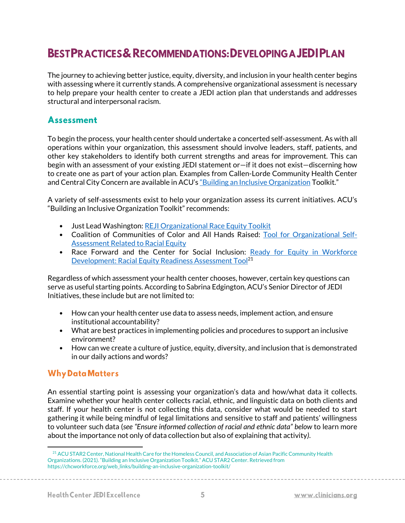# **BESTPRACTICES & RECOMMENDATIONS: DEVELOPING A JEDIPLAN**

The journey to achieving better justice, equity, diversity, and inclusion in your health center begins with assessing where it currently stands. A comprehensive organizational assessment is necessary to help prepare your health center to create a JEDI action plan that understands and addresses structural and interpersonal racism.

## **Assessment**

To begin the process, your health center should undertake a concerted self-assessment. As with all operations within your organization, this assessment should involve leaders, staff, patients, and other key stakeholders to identify both current strengths and areas for improvement. This can begin with an assessment of your existing JEDI statement or—if it does not exist—discerning how to create one as part of your action plan. Examples from Callen-Lorde Community Health Center and Central City Concern are available in ACU'[s "Building an Inclusive Organization](https://chcworkforce.org/wp-content/uploads/2021/03/Building-An-Inclusive-Organization-Toolkit-3.09.21.pdf) Toolkit."

A variety of self-assessments exist to help your organization assess its current initiatives. ACU's "Building an Inclusive Organization Toolkit" recommends:

- Just Lead Washington[: REJI Organizational Race Equity Toolkit](https://justleadwa.org/wp-content/uploads/2020/11/Organizational-Assessment-Final-2020.pdf)
- Coalition of Communities of Color and All Hands Raised: [Tool for Organizational Self-](https://nhchc.org/wp-content/uploads/2019/08/organizational-self-assessment-related-to-racial-equity_oct-2013.pdf)[Assessment Related to Racial Equity](https://nhchc.org/wp-content/uploads/2019/08/organizational-self-assessment-related-to-racial-equity_oct-2013.pdf)
- Race Forward and the Center for Social Inclusion: [Ready for Equity in Workforce](https://act.colorlines.com/acton/attachment/1069/f-02a7/1/-/-/-/-/RaceForward_WFD_ReadyForEquity_Tool_2018.pdf)  Development: Racial [Equity Readiness Assessment](https://act.colorlines.com/acton/attachment/1069/f-02a7/1/-/-/-/-/RaceForward_WFD_ReadyForEquity_Tool_2018.pdf) Tool<sup>21</sup>

Regardless of which assessment your health center chooses, however, certain key questions can serve as useful starting points. According to Sabrina Edgington, ACU's Senior Director of JEDI Initiatives, these include but are not limited to:

- How can your health center use data to assess needs, implement action, and ensure institutional accountability?
- What are best practices in implementing policies and procedures to support an inclusive environment?
- How can we create a culture of justice, equity, diversity, and inclusion that is demonstrated in our daily actions and words?

#### **Why Data Matters**

An essential starting point is assessing your organization's data and how/what data it collects. Examine whether your health center collects racial, ethnic, and linguistic data on both clients and staff. If your health center is not collecting this data, consider what would be needed to start gathering it while being mindful of legal limitations and sensitive to staff and patients' willingness to volunteer such data (*see "Ensure informed collection of racial and ethnic data" below* to learn more about the importance not only of data collection but also of explaining that activity*)*.

<sup>&</sup>lt;sup>21</sup> ACU STAR2 Center, National Health Care for the Homeless Council, and Association of Asian Pacific Community Health Organizations. (2021). "Building an Inclusive Organization Toolkit." ACU STAR2 Center. Retrieved from https://chcworkforce.org/web\_links/building-an-inclusive-organization-toolkit/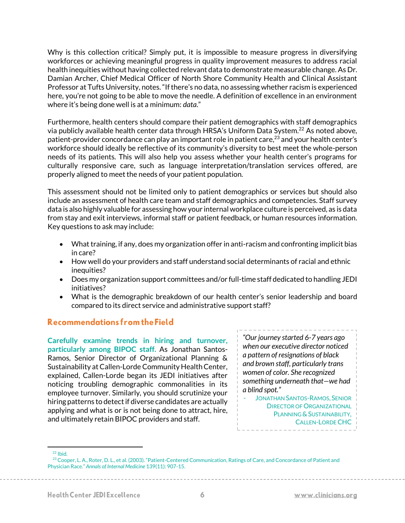Why is this collection critical? Simply put, it is impossible to measure progress in diversifying workforces or achieving meaningful progress in quality improvement measures to address racial health inequities without having collected relevant data to demonstrate measurable change. As Dr. Damian Archer, Chief Medical Officer of North Shore Community Health and Clinical Assistant Professor at Tufts University, notes."If there's no data, no assessing whether racism is experienced here, you're not going to be able to move the needle. A definition of excellence in an environment where it's being done well is at a minimum: *data*."

Furthermore, health centers should compare their patient demographics with staff demographics via publicly available health center data through HRSA's Uniform Data System.<sup>22</sup> As noted above, patient-provider concordance can play an important role in patient care, <sup>23</sup> and your health center's workforce should ideally be reflective of its community's diversity to best meet the whole-person needs of its patients. This will also help you assess whether your health center's programs for culturally responsive care, such as language interpretation/translation services offered, are properly aligned to meet the needs of your patient population.

This assessment should not be limited only to patient demographics or services but should also include an assessment of health care team and staff demographics and competencies. Staff survey data is also highly valuable for assessing how your internal workplace culture is perceived, as is data from stay and exit interviews, informal staff or patient feedback, or human resources information. Key questions to ask may include:

- What training, if any, does my organization offer in anti-racism and confronting implicit bias in care?
- How well do your providers and staff understand social determinants of racial and ethnic inequities?
- Does my organization support committees and/or full-time staff dedicated to handling JEDI initiatives?
- What is the demographic breakdown of our health center's senior leadership and board compared to its direct service and administrative support staff?

#### Recommendations from the Field

**Carefully examine trends in hiring and turnover, particularly among BIPOC staff.** As Jonathan Santos-Ramos, Senior Director of Organizational Planning & Sustainability at Callen-Lorde Community Health Center, explained, Callen-Lorde began its JEDI initiatives after noticing troubling demographic commonalities in its employee turnover. Similarly, you should scrutinize your hiring patterns to detect if diverse candidates are actually applying and what is or is not being done to attract, hire, and ultimately retain BIPOC providers and staff.

*"Our journey started 6-7 years ago when our executive director noticed a pattern of resignations of black and brown staff, particularly trans women of color. She recognized something underneath that—we had a blind spot."*

JONATHAN SANTOS-RAMOS, SENIOR DIRECTOR OF ORGANIZATIONAL PLANNING & SUSTAINABILITY, CALLEN-LORDE CHC

 $22$  Ibid.

<sup>&</sup>lt;sup>23</sup> Cooper, L. A., Roter, D. L., et al. (2003). "Patient-Centered Communication, Ratings of Care, and Concordance of Patient and Physician Race." *Annals of Internal Medicine* 139(11): 907-15.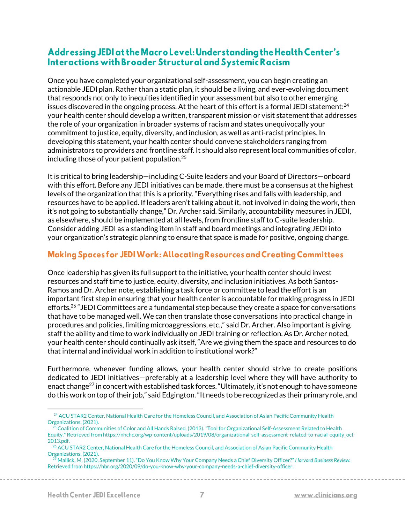### Addressing JEDI at the Macro Level: Understanding the Health Center's Interactions with Broader Structural and Systemic Racism

Once you have completed your organizational self-assessment, you can begin creating an actionable JEDI plan. Rather than a static plan, it should be a living, and ever-evolving document that responds not only to inequities identified in your assessment but also to other emerging issues discovered in the ongoing process. At the heart of this effort is a formal JEDI statement: $^{24}$ your health center should develop a written, transparent mission or visit statement that addresses the role of your organization in broader systems of racism and states unequivocally your commitment to justice, equity, diversity, and inclusion, as well as anti-racist principles. In developing this statement, your health center should convene stakeholders ranging from administrators to providers and frontline staff. It should also represent local communities of color, including those of your patient population. 25

It is critical to bring leadership—including C-Suite leaders and your Board of Directors—onboard with this effort. Before any JEDI initiatives can be made, there must be a consensus at the highest levels of the organization that this is a priority. "Everything rises and falls with leadership, and resources have to be applied. If leaders aren't talking about it, not involved in doing the work, then it's not going to substantially change," Dr. Archer said. Similarly, accountability measures in JEDI, as elsewhere, should be implemented at all levels, from frontline staff to C-suite leadership. Consider adding JEDI as a standing item in staff and board meetings and integrating JEDI into your organization's strategic planning to ensure that space is made for positive, ongoing change.

### **Making Spaces for JEDI Work: Allocating Resources and Creating Committees**

Once leadership has given its full support to the initiative, your health center should invest resources and staff time to justice, equity, diversity, and inclusion initiatives. As both Santos-Ramos and Dr. Archer note, establishing a task force or committee to lead the effort is an important first step in ensuring that your health center is accountable for making progress in JEDI efforts.<sup>26</sup> "JEDI Committees are a fundamental step because they create a space for conversations that have to be managed well. We can then translate those conversations into practical change in procedures and policies, limiting microaggressions, etc.," said Dr. Archer. Also important is giving staff the ability and time to work individually on JEDI training or reflection. As Dr. Archer noted, your health center should continually ask itself, "Are we giving them the space and resources to do that internal and individual work in addition to institutional work?"

Furthermore, whenever funding allows, your health center should strive to create positions dedicated to JEDI initiatives—preferably at a leadership level where they will have authority to enact change<sup>27</sup> in concert with established task forces. "Ultimately, it's not enough to have someone do this work on top of their job," said Edgington. "It needs to be recognized as their primary role, and

<sup>&</sup>lt;sup>24</sup> ACU STAR2 Center, National Health Care for the Homeless Council, and Association of Asian Pacific Community Health Organizations. (2021).

 $^{25}$  Coalition of Communities of Color and All Hands Raised. (2013). "Tool for Organizational Self-Assessment Related to Health Equity." Retrieved from https://nhchc.org/wp-content/uploads/2019/08/organizational-self-assessment-related-to-racial-equity\_oct-2013.pdf.

<sup>&</sup>lt;sup>26</sup> ACU STAR2 Center, National Health Care for the Homeless Council, and Association of Asian Pacific Community Health Organizations. (2021).

<sup>27</sup> Mallick, M. (2020, September 11). "Do You Know Why Your Company Needs a Chief Diversity Officer?" *Harvard Business Review.*  Retrieved from https://hbr.org/2020/09/do-you-know-why-your-company-needs-a-chief-diversity-officer.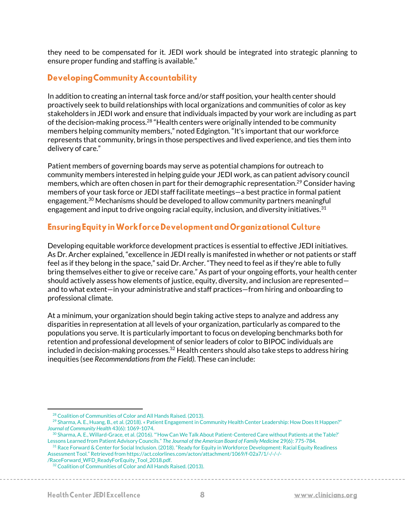they need to be compensated for it. JEDI work should be integrated into strategic planning to ensure proper funding and staffing is available."

### **Developing Community Accountability**

In addition to creating an internal task force and/or staff position, your health center should proactively seek to build relationships with local organizations and communities of color as key stakeholders in JEDI work and ensure that individuals impacted by your work are including as part of the decision-making process.<sup>28</sup> "Health centers were originally intended to be community members helping community members," noted Edgington. "It's important that our workforce represents that community, brings in those perspectives and lived experience, and ties them into delivery of care."

Patient members of governing boards may serve as potential champions for outreach to community members interested in helping guide your JEDI work, as can patient advisory council members, which are often chosen in part for their demographic representation.<sup>29</sup> Consider having members of your task force or JEDI staff facilitate meetings—a best practice in formal patient engagement.<sup>30</sup> Mechanisms should be developed to allow community partners meaningful engagement and input to drive ongoing racial equity, inclusion, and diversity initiatives.  $31$ 

#### **Ensuring Equity in Workforce Development and Organizational Culture**

Developing equitable workforce development practices is essential to effective JEDI initiatives. As Dr. Archer explained, "excellence in JEDI really is manifested in whether or not patients or staff feel as if they belong in the space," said Dr. Archer. "They need to feel as if they're able to fully bring themselves either to give or receive care." As part of your ongoing efforts, your health center should actively assess how elements of justice, equity, diversity, and inclusion are represented and to what extent—in your administrative and staff practices—from hiring and onboarding to professional climate.

At a minimum, your organization should begin taking active steps to analyze and address any disparities in representation at all levels of your organization, particularly as compared to the populations you serve. It is particularly important to focus on developing benchmarks both for retention and professional development of senior leaders of color to BIPOC individuals are included in decision-making processes.<sup>32</sup> Health centers should also take steps to address hiring inequities (see *Recommendations from the Field)*. These can include:

<sup>28</sup> Coalition of Communities of Color and All Hands Raised. (2013).

<sup>&</sup>lt;sup>29</sup> Sharma, A. E., Huang, B., et al. (2018). « Patient Engagement in Community Health Center Leadership: How Does It Happen?" *Journal of Community Health* 43(6): 1069-1074.

<sup>30</sup> Sharma, A. E., Willard-Grace, et al. (2016). "'How Can We Talk About Patient-Centered Care without Patients at the Table?' Lessons Learned from Patient Advisory Councils." *The Journal of the American Board of Family Medicine* 29(6): 775-784.

<sup>&</sup>lt;sup>31</sup> Race Forward & Center for Social Inclusion. (2018). "Ready for Equity in Workforce Development: Racial Equity Readiness Assessment Tool." Retrieved from https://act.colorlines.com/acton/attachment/1069/f-02a7/1/-/-/-/-

<sup>/</sup>RaceForward\_WFD\_ReadyForEquity\_Tool\_2018.pdf.

<sup>&</sup>lt;sup>32</sup> Coalition of Communities of Color and All Hands Raised. (2013).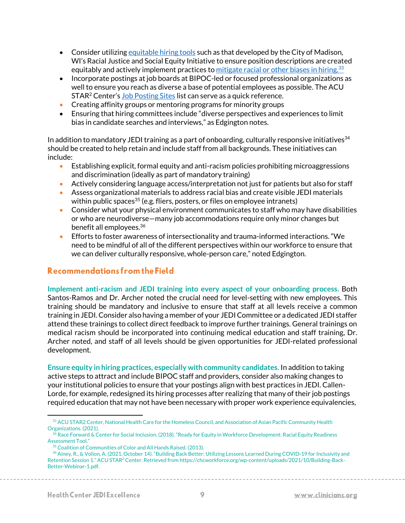- Consider utilizin[g equitable hiring tools](https://www.cityofmadison.com/civil-rights/documents/RESJEquitableHiringTool.docx) such as that developed by the City of Madison, WI's Racial Justice and Social Equity Initiative to ensure position descriptions are created equitably and actively implement practices t[o mitigate racial or other biases in hiring.](https://www.shrm.org/hr-today/news/hr-news/Pages/Preventing-Implicit-Bias-Hiring.aspx)<sup>33</sup>
- Incorporate postings at job boards at BIPOC-led or focused professional organizations as well to ensure you reach as diverse a base of potential employees as possible. The ACU STAR<sup>2</sup> Center's [Job Posting Sites](https://clinicians.org/wp-content/uploads/2020/09/Job-Posting-Checklist-9.29.20.pdf) list can serve as a quick reference.
- Creating affinity groups or mentoring programs for minority groups
- Ensuring that hiring committees include "diverse perspectives and experiences to limit bias in candidate searches and interviews," as Edgington notes.

In addition to mandatory JEDI training as a part of onboarding, culturally responsive initiatives  $34$ should be created to help retain and include staff from all backgrounds. These initiatives can include:

- Establishing explicit, formal equity and anti-racism policies prohibiting microaggressions and discrimination (ideally as part of mandatory training)
- Actively considering language access/interpretation not just for patients but also for staff
- Assess organizational materials to address racial bias and create visible JEDI materials within public spaces<sup>35</sup> (e.g. fliers, posters, or files on employee intranets)
- Consider what your physical environment communicates to staff who may have disabilities or who are neurodiverse—many job accommodations require only minor changes but benefit all employees.<sup>36</sup>
- Efforts to foster awareness of intersectionality and trauma-informed interactions. "We need to be mindful of all of the different perspectives within our workforce to ensure that we can deliver culturally responsive, whole-person care," noted Edgington.

#### Recommendations from the Field

**Implement anti-racism and JEDI training into every aspect of your onboarding process.** Both Santos-Ramos and Dr. Archer noted the crucial need for level-setting with new employees. This training should be mandatory and inclusive to ensure that staff at all levels receive a common training in JEDI. Consider also having a member of your JEDI Committee or a dedicated JEDI staffer attend these trainings to collect direct feedback to improve further trainings. General trainings on medical racism should be incorporated into continuing medical education and staff training, Dr. Archer noted, and staff of all levels should be given opportunities for JEDI-related professional development.

**Ensure equity in hiring practices, especially with community candidates.** In addition to taking active steps to attract and include BIPOC staff and providers, consider also making changes to your institutional policies to ensure that your postings align with best practices in JEDI. Callen-Lorde, for example, redesigned its hiring processes after realizing that many of their job postings required education that may not have been necessary with proper work experience equivalencies,

<sup>&</sup>lt;sup>33</sup> ACU STAR2 Center, National Health Care for the Homeless Council, and Association of Asian Pacific Community Health Organizations. (2021).

 $^{34}$  Race Forward & Center for Social Inclusion. (2018). "Ready for Equity in Workforce Development: Racial Equity Readiness Assessment Tool."

<sup>&</sup>lt;sup>35</sup> Coalition of Communities of Color and All Hands Raised. (2013).

<sup>36</sup> Ainey, R., & Volion, A. (2021, October 14). "Building Back Better: Utilizing Lessons Learned During COVID-19 for Inclusivity and Retention Session 1." ACU STAR<sup>2</sup> Center. Retrieved from https://chcworkforce.org/wp-content/uploads/2021/10/Building-Back-Better-Webinar-1.pdf.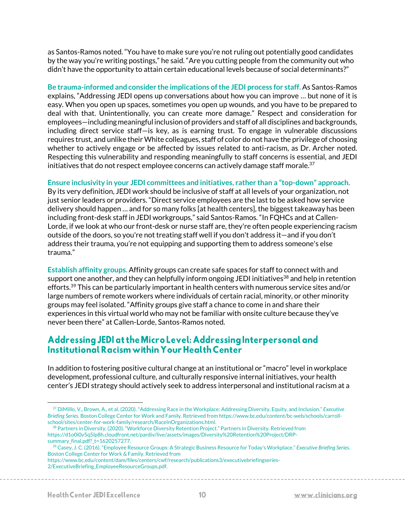as Santos-Ramos noted. "You have to make sure you're not ruling out potentially good candidates by the way you're writing postings," he said. "Are you cutting people from the community out who didn't have the opportunity to attain certain educational levels because of social determinants?"

**Be trauma-informed and consider the implications of the JEDI process for staff.** As Santos-Ramos explains, "Addressing JEDI opens up conversations about how you can improve … but none of it is easy. When you open up spaces, sometimes you open up wounds, and you have to be prepared to deal with that. Unintentionally, you can create more damage." Respect and consideration for employees—including meaningful inclusion of providers and staff of all disciplines and backgrounds, including direct service staff—is key, as is earning trust. To engage in vulnerable discussions requires trust, and unlike their White colleagues, staff of color do not have the privilege of choosing whether to actively engage or be affected by issues related to anti-racism, as Dr. Archer noted. Respecting this vulnerability and responding meaningfully to staff concerns is essential, and JEDI initiatives that do not respect employee concerns can actively damage staff morale. $37$ 

**Ensure inclusivity in your JEDI committees and initiatives, rather than a "top-down" approach.**

By its very definition, JEDI work should be inclusive of staff at all levels of your organization, not just senior leaders or providers. "Direct service employees are the last to be asked how service delivery should happen … and for so many folks [at health centers], the biggest takeaway has been including front-desk staff in JEDI workgroups," said Santos-Ramos. "In FQHCs and at Callen-Lorde, if we look at who our front-desk or nurse staff are, they're often people experiencing racism outside of the doors, so you're not treating staff well if you don't address it—and if you don't address their trauma, you're not equipping and supporting them to address someone's else trauma."

**Establish affinity groups.** Affinity groups can create safe spaces for staff to connect with and support one another, and they can helpfully inform ongoing JEDI initiatives<sup>38</sup> and help in retention efforts.<sup>39</sup> This can be particularly important in health centers with numerous service sites and/or large numbers of remote workers where individuals of certain racial, minority, or other minority groups may feel isolated. "Affinity groups give staff a chance to come in and share their experiences in this virtual world who may not be familiar with onsite culture because they've never been there" at Callen-Lorde, Santos-Ramos noted.

### Addressing JEDI at the Micro Level: Addressing Interpersonal and Institutional Racism within Your Health Center

In addition to fostering positive cultural change at an institutional or "macro" level in workplace development, professional culture, and culturally responsive internal initiatives, your health center's JEDI strategy should actively seek to address interpersonal and institutional racism at a

https://www.bc.edu/content/dam/files/centers/cwf/research/publications3/executivebriefingseries-2/ExecutiveBriefing\_EmployeeResourceGroups.pdf.

<sup>37</sup> DiMillo, V., Brown, A., et al. (2020). "Addressing Race in the Workplace: Addressing Diversity, Equity, and Inclusion." *Executive Briefing Series*. Boston College Center for Work and Family. Retrieved from https://www.bc.edu/content/bc-web/schools/carrollschool/sites/center-for-work-family/research/RaceInOrganizations.html.

<sup>&</sup>lt;sup>38</sup> Partners in Diversity. (2020). "Workforce Diversity Retention Project." Partners in Diversity. Retrieved from https://d1o0i0v5q5lp8h.cloudfront.net/pardiv/live/assets/images/Diversity%20Retention%20Project/DRPsummary final.pdf? t=1620257277.

<sup>39</sup> Casey, J. C. (2016). "Employee Resource Groups: A Strategic Business Resource for Today's Workplace." *Executive Briefing Series.*  Boston College Center for Work & Family. Retrieved from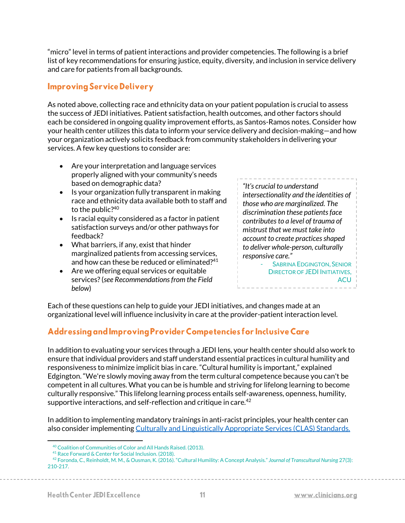"micro" level in terms of patient interactions and provider competencies. The following is a brief list of key recommendations for ensuring justice, equity, diversity, and inclusion in service delivery and care for patients from all backgrounds.

### **Improving Service Delivery**

As noted above, collecting race and ethnicity data on your patient population is crucial to assess the success of JEDI initiatives. Patient satisfaction, health outcomes, and other factors should each be considered in ongoing quality improvement efforts, as Santos-Ramos notes. Consider how your health center utilizes this data to inform your service delivery and decision-making—and how your organization actively solicits feedback from community stakeholders in delivering your services. A few key questions to consider are:

- Are your interpretation and language services properly aligned with your community's needs based on demographic data?
- Is your organization fully transparent in making race and ethnicity data available both to staff and to the public?<sup>40</sup>
- Is racial equity considered as a factor in patient satisfaction surveys and/or other pathways for feedback?
- What barriers, if any, exist that hinder marginalized patients from accessing services, and how can these be reduced or eliminated?<sup>41</sup>
- Are we offering equal services or equitable services? (*see Recommendations from the Field below*)

*"It's crucial to understand intersectionality and the identities of those who are marginalized. The discrimination these patients face contributes to a level of trauma of mistrust that we must take into account to create practices shaped to deliver whole-person, culturally responsive care."*

SABRINA EDGINGTON, SENIOR DIRECTOR OF JEDI INITIATIVES, **ACU** 

Each of these questions can help to guide your JEDI initiatives, and changes made at an organizational level will influence inclusivity in care at the provider-patient interaction level.

# Addressing and Improving Provider Competencies for Inclusive Care

In addition to evaluating your services through a JEDI lens, your health center should also work to ensure that individual providers and staff understand essential practices in cultural humility and responsiveness to minimize implicit bias in care. "Cultural humility is important," explained Edgington. "We're slowly moving away from the term cultural competence because you can't be competent in all cultures. What you can be is humble and striving for lifelong learning to become culturally responsive." This lifelong learning process entails self-awareness, openness, humility, supportive interactions, and self-reflection and critique in care.<sup>42</sup>

In addition to implementing mandatory trainings in anti-racist principles, your health center can also consider implementing [Culturally and Linguistically Appropriate Services \(CLAS\) Standards.](https://thinkculturalhealth.hhs.gov/clas)

<sup>40</sup> Coalition of Communities of Color and All Hands Raised. (2013).

<sup>41</sup> Race Forward & Center for Social Inclusion. (2018).

<sup>42</sup> Foronda, C., Reinholdt, M. M., & Ousman, K. (2016). "Cultural Humility: A Concept Analysis." *Journal of Transcultural Nursing* 27(3): 210-217.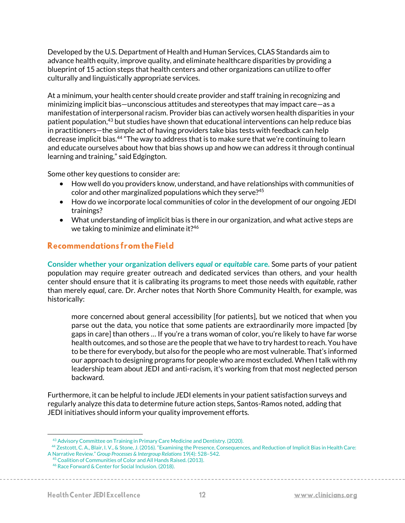Developed by the U.S. Department of Health and Human Services, CLAS Standards aim to advance health equity, improve quality, and eliminate healthcare disparities by providing a blueprint of 15 action steps that health centers and other organizations can utilize to offer culturally and linguistically appropriate services.

At a minimum, your health center should create provider and staff training in recognizing and minimizing implicit bias—unconscious attitudes and stereotypes that may impact care—as a manifestation of interpersonal racism. Provider bias can actively worsen health disparities in your patient population,<sup>43</sup> but studies have shown that educational interventions can help reduce bias in practitioners—the simple act of having providers take bias tests with feedback can help decrease implicit bias.<sup>44</sup> "The way to address that is to make sure that we're continuing to learn and educate ourselves about how that bias shows up and how we can address it through continual learning and training," said Edgington.

Some other key questions to consider are:

- How well do you providers know, understand, and have relationships with communities of color and other marginalized populations which they serve?<sup>45</sup>
- How do we incorporate local communities of color in the development of our ongoing JEDI trainings?
- What understanding of implicit bias is there in our organization, and what active steps are we taking to minimize and eliminate it?<sup>46</sup>

#### Recommendations from the Field

**Consider whether your organization delivers** *equal* **or** *equitable* **care.** Some parts of your patient population may require greater outreach and dedicated services than others, and your health center should ensure that it is calibrating its programs to meet those needs with *equitable*, rather than merely *equal*, care. Dr. Archer notes that North Shore Community Health, for example, was historically:

more concerned about general accessibility [for patients], but we noticed that when you parse out the data, you notice that some patients are extraordinarily more impacted [by gaps in care] than others … If you're a trans woman of color, you're likely to have far worse health outcomes, and so those are the people that we have to try hardest to reach. You have to be there for everybody, but also for the people who are most vulnerable. That's informed our approach to designing programs for people who are most excluded. When I talk with my leadership team about JEDI and anti-racism, it's working from that most neglected person backward.

Furthermore, it can be helpful to include JEDI elements in your patient satisfaction surveys and regularly analyze this data to determine future action steps, Santos-Ramos noted, adding that JEDI initiatives should inform your quality improvement efforts.

<sup>&</sup>lt;sup>43</sup> Advisory Committee on Training in Primary Care Medicine and Dentistry. (2020).

<sup>44</sup> Zestcott, C. A., Blair, I. V., & Stone, J. (2016). "Examining the Presence, Consequences, and Reduction of Implicit Bias in Health Care: A Narrative Review." *Group Processes & Intergroup Relations* 19(4): 528–542.

<sup>45</sup> Coalition of Communities of Color and All Hands Raised. (2013).

<sup>46</sup> Race Forward & Center for Social Inclusion. (2018).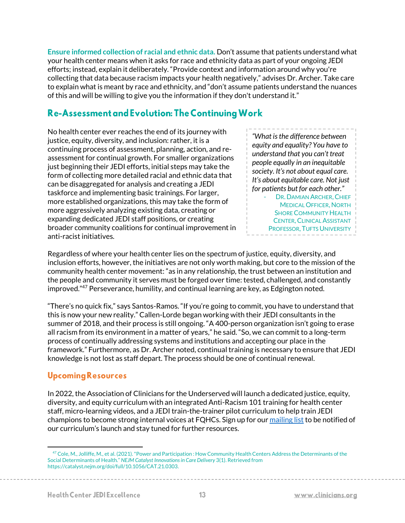**Ensure informed collection of racial and ethnic data.** Don't assume that patients understand what your health center means when it asks for race and ethnicity data as part of your ongoing JEDI efforts; instead, explain it deliberately. "Provide context and information around why you're collecting that data because racism impacts your health negatively," advises Dr. Archer. Take care to explain what is meant by race and ethnicity, and "don't assume patients understand the nuances of this and will be willing to give you the information if they don't understand it."

# **Re-Assessment and Evolution: The Continuing Work**

No health center ever reaches the end of its journey with justice, equity, diversity, and inclusion: rather, it is a continuing process of assessment, planning, action, and reassessment for continual growth. For smaller organizations just beginning their JEDI efforts, initial steps may take the form of collecting more detailed racial and ethnic data that can be disaggregated for analysis and creating a JEDI taskforce and implementing basic trainings. For larger, more established organizations, this may take the form of more aggressively analyzing existing data, creating or expanding dedicated JEDI staff positions, or creating broader community coalitions for continual improvement in anti-racist initiatives.

*"What is the difference between equity and equality? You have to understand that you can't treat people equally in an inequitable society. It's not about equal care. It's about equitable care. Not just for patients but for each other."* DR. DAMIAN ARCHER, CHIEF MEDICAL OFFICER, NORTH SHORE COMMUNITY HEALTH **CENTER, CLINICAL ASSISTANT** 

PROFESSOR, TUFTS UNIVERSITY

Regardless of where your health center lies on the spectrum of justice, equity, diversity, and inclusion efforts, however, the initiatives are not only worth making, but core to the mission of the community health center movement: "as in any relationship, the trust between an institution and the people and community it serves must be forged over time: tested, challenged, and constantly improved."<sup>47</sup> Perseverance, humility, and continual learning are key, as Edgington noted.

"There's no quick fix," says Santos-Ramos. "If you're going to commit, you have to understand that this is now your new reality." Callen-Lorde began working with their JEDI consultants in the summer of 2018, and their process is still ongoing. "A 400-person organization isn't going to erase all racism from its environment in a matter of years," he said. "So, we can commit to a long-term process of continually addressing systems and institutions and accepting our place in the framework." Furthermore, as Dr. Archer noted, continual training is necessary to ensure that JEDI knowledge is not lost as staff depart. The process should be one of continual renewal.

# **Upcoming Resources**

In 2022, the Association of Clinicians for the Underserved will launch a dedicated justice, equity, diversity, and equity curriculum with an integrated Anti-Racism 101 training for health center staff, micro-learning videos, and a JEDI train-the-trainer pilot curriculum to help train JEDI champions to become strong internal voices at FQHCs. Sign up for ou[r mailing list](https://lp.constantcontactpages.com/su/xajx41C/acu) to be notified of our curriculum's launch and stay tuned for further resources.

<sup>&</sup>lt;sup>47</sup> Cole, M., Jolliffe, M., et al. (2021). "Power and Participation : How Community Health Centers Address the Determinants of the Social Determinants of Health." *NEJM Catalyst Innovations in Care Delivery* 3(1). Retrieved from https://catalyst.nejm.org/doi/full/10.1056/CAT.21.0303.